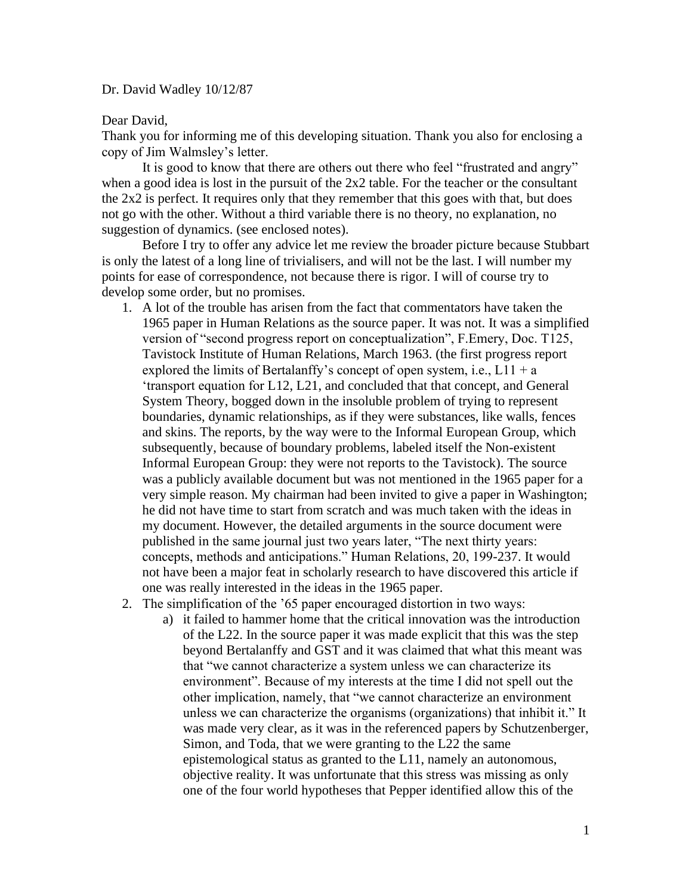## Dr. David Wadley 10/12/87

## Dear David,

Thank you for informing me of this developing situation. Thank you also for enclosing a copy of Jim Walmsley's letter.

It is good to know that there are others out there who feel "frustrated and angry" when a good idea is lost in the pursuit of the 2x2 table. For the teacher or the consultant the 2x2 is perfect. It requires only that they remember that this goes with that, but does not go with the other. Without a third variable there is no theory, no explanation, no suggestion of dynamics. (see enclosed notes).

Before I try to offer any advice let me review the broader picture because Stubbart is only the latest of a long line of trivialisers, and will not be the last. I will number my points for ease of correspondence, not because there is rigor. I will of course try to develop some order, but no promises.

- 1. A lot of the trouble has arisen from the fact that commentators have taken the 1965 paper in Human Relations as the source paper. It was not. It was a simplified version of "second progress report on conceptualization", F.Emery, Doc. T125, Tavistock Institute of Human Relations, March 1963. (the first progress report explored the limits of Bertalanffy's concept of open system, i.e.,  $L11 + a$ 'transport equation for L12, L21, and concluded that that concept, and General System Theory, bogged down in the insoluble problem of trying to represent boundaries, dynamic relationships, as if they were substances, like walls, fences and skins. The reports, by the way were to the Informal European Group, which subsequently, because of boundary problems, labeled itself the Non-existent Informal European Group: they were not reports to the Tavistock). The source was a publicly available document but was not mentioned in the 1965 paper for a very simple reason. My chairman had been invited to give a paper in Washington; he did not have time to start from scratch and was much taken with the ideas in my document. However, the detailed arguments in the source document were published in the same journal just two years later, "The next thirty years: concepts, methods and anticipations." Human Relations, 20, 199-237. It would not have been a major feat in scholarly research to have discovered this article if one was really interested in the ideas in the 1965 paper.
- 2. The simplification of the '65 paper encouraged distortion in two ways:
	- a) it failed to hammer home that the critical innovation was the introduction of the L22. In the source paper it was made explicit that this was the step beyond Bertalanffy and GST and it was claimed that what this meant was that "we cannot characterize a system unless we can characterize its environment". Because of my interests at the time I did not spell out the other implication, namely, that "we cannot characterize an environment unless we can characterize the organisms (organizations) that inhibit it." It was made very clear, as it was in the referenced papers by Schutzenberger, Simon, and Toda, that we were granting to the L22 the same epistemological status as granted to the L11, namely an autonomous, objective reality. It was unfortunate that this stress was missing as only one of the four world hypotheses that Pepper identified allow this of the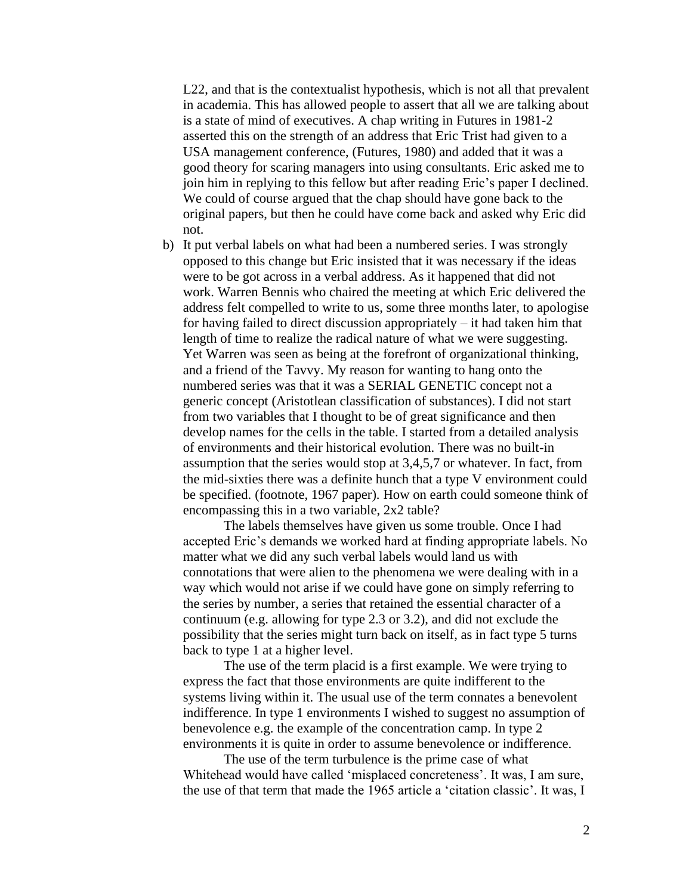L22, and that is the contextualist hypothesis, which is not all that prevalent in academia. This has allowed people to assert that all we are talking about is a state of mind of executives. A chap writing in Futures in 1981-2 asserted this on the strength of an address that Eric Trist had given to a USA management conference, (Futures, 1980) and added that it was a good theory for scaring managers into using consultants. Eric asked me to join him in replying to this fellow but after reading Eric's paper I declined. We could of course argued that the chap should have gone back to the original papers, but then he could have come back and asked why Eric did not.

b) It put verbal labels on what had been a numbered series. I was strongly opposed to this change but Eric insisted that it was necessary if the ideas were to be got across in a verbal address. As it happened that did not work. Warren Bennis who chaired the meeting at which Eric delivered the address felt compelled to write to us, some three months later, to apologise for having failed to direct discussion appropriately – it had taken him that length of time to realize the radical nature of what we were suggesting. Yet Warren was seen as being at the forefront of organizational thinking, and a friend of the Tavvy. My reason for wanting to hang onto the numbered series was that it was a SERIAL GENETIC concept not a generic concept (Aristotlean classification of substances). I did not start from two variables that I thought to be of great significance and then develop names for the cells in the table. I started from a detailed analysis of environments and their historical evolution. There was no built-in assumption that the series would stop at 3,4,5,7 or whatever. In fact, from the mid-sixties there was a definite hunch that a type V environment could be specified. (footnote, 1967 paper). How on earth could someone think of encompassing this in a two variable, 2x2 table?

The labels themselves have given us some trouble. Once I had accepted Eric's demands we worked hard at finding appropriate labels. No matter what we did any such verbal labels would land us with connotations that were alien to the phenomena we were dealing with in a way which would not arise if we could have gone on simply referring to the series by number, a series that retained the essential character of a continuum (e.g. allowing for type 2.3 or 3.2), and did not exclude the possibility that the series might turn back on itself, as in fact type 5 turns back to type 1 at a higher level.

The use of the term placid is a first example. We were trying to express the fact that those environments are quite indifferent to the systems living within it. The usual use of the term connates a benevolent indifference. In type 1 environments I wished to suggest no assumption of benevolence e.g. the example of the concentration camp. In type 2 environments it is quite in order to assume benevolence or indifference.

The use of the term turbulence is the prime case of what Whitehead would have called 'misplaced concreteness'. It was, I am sure, the use of that term that made the 1965 article a 'citation classic'. It was, I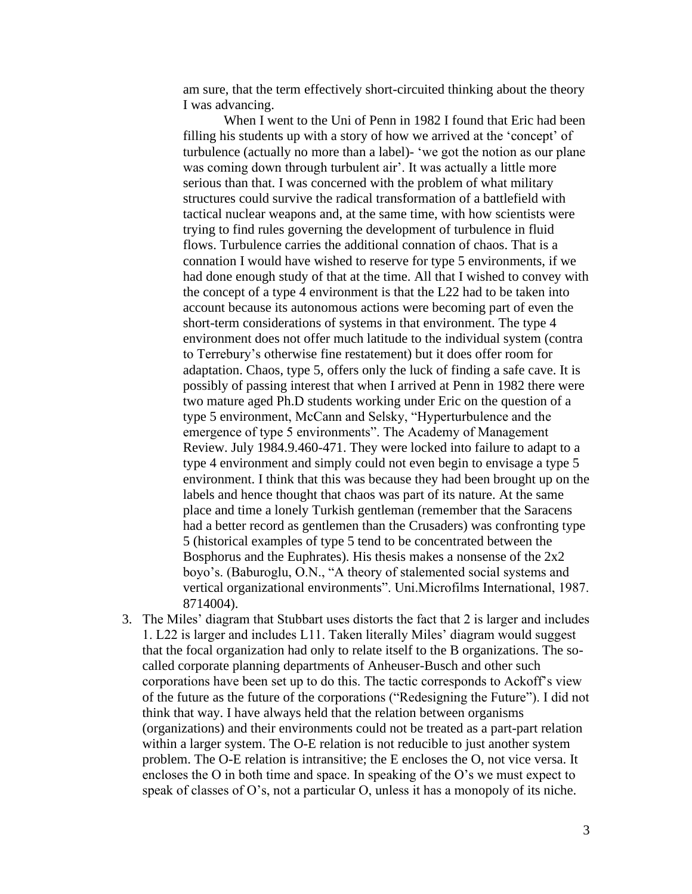am sure, that the term effectively short-circuited thinking about the theory I was advancing.

When I went to the Uni of Penn in 1982 I found that Eric had been filling his students up with a story of how we arrived at the 'concept' of turbulence (actually no more than a label)- 'we got the notion as our plane was coming down through turbulent air'. It was actually a little more serious than that. I was concerned with the problem of what military structures could survive the radical transformation of a battlefield with tactical nuclear weapons and, at the same time, with how scientists were trying to find rules governing the development of turbulence in fluid flows. Turbulence carries the additional connation of chaos. That is a connation I would have wished to reserve for type 5 environments, if we had done enough study of that at the time. All that I wished to convey with the concept of a type 4 environment is that the L22 had to be taken into account because its autonomous actions were becoming part of even the short-term considerations of systems in that environment. The type 4 environment does not offer much latitude to the individual system (contra to Terrebury's otherwise fine restatement) but it does offer room for adaptation. Chaos, type 5, offers only the luck of finding a safe cave. It is possibly of passing interest that when I arrived at Penn in 1982 there were two mature aged Ph.D students working under Eric on the question of a type 5 environment, McCann and Selsky, "Hyperturbulence and the emergence of type 5 environments". The Academy of Management Review. July 1984.9.460-471. They were locked into failure to adapt to a type 4 environment and simply could not even begin to envisage a type 5 environment. I think that this was because they had been brought up on the labels and hence thought that chaos was part of its nature. At the same place and time a lonely Turkish gentleman (remember that the Saracens had a better record as gentlemen than the Crusaders) was confronting type 5 (historical examples of type 5 tend to be concentrated between the Bosphorus and the Euphrates). His thesis makes a nonsense of the 2x2 boyo's. (Baburoglu, O.N., "A theory of stalemented social systems and vertical organizational environments". Uni.Microfilms International, 1987. 8714004).

3. The Miles' diagram that Stubbart uses distorts the fact that 2 is larger and includes 1. L22 is larger and includes L11. Taken literally Miles' diagram would suggest that the focal organization had only to relate itself to the B organizations. The socalled corporate planning departments of Anheuser-Busch and other such corporations have been set up to do this. The tactic corresponds to Ackoff's view of the future as the future of the corporations ("Redesigning the Future"). I did not think that way. I have always held that the relation between organisms (organizations) and their environments could not be treated as a part-part relation within a larger system. The O-E relation is not reducible to just another system problem. The O-E relation is intransitive; the E encloses the O, not vice versa. It encloses the O in both time and space. In speaking of the O's we must expect to speak of classes of O's, not a particular O, unless it has a monopoly of its niche.